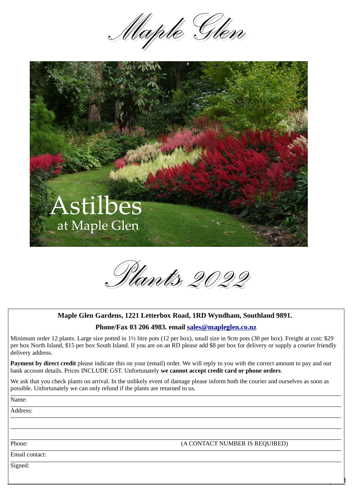



*Plants 2022*

## **Maple Glen Gardens, 1221 Letterbox Road, 1RD Wyndham, Southland 9891.**

## **Phone/Fax 03 206 4983. email [sales@mapleglen.co.nz](mailto:sales@mapleglen.co.nz)**

Minimum order 12 plants. Large size potted in 1½ litre pots (12 per box), small size in 9cm pots (30 per box). Freight at cost: \$29 per box North Island, \$15 per box South Island. If you are on an RD please add \$8 per box for delivery or supply a courier friendly delivery address.

**Payment by direct credit** please indicate this on your (email) order. We will reply to you with the correct amount to pay and our bank account details. Prices INCLUDE GST. Unfortunately **we cannot accept credit card or phone orders**.

We ask that you check plants on arrival. In the unlikely event of damage please inform both the courier and ourselves as soon as possible. Unfortunately we can only refund if the plants are returned to us.

Name:

Address:

Phone: (A CONTACT NUMBER IS REQUIRED)

 $\overline{\phantom{a}}$ 

Email contact:

Signed: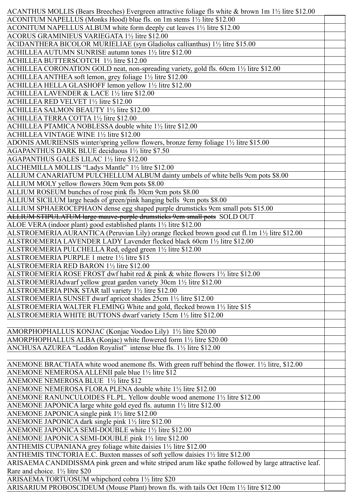| ACANTHUS MOLLIS (Bears Breeches) Evergreen attractive foliage fls white & brown 1m 1½ litre \$12.00      |  |
|----------------------------------------------------------------------------------------------------------|--|
| ACONITUM NAPELLUS (Monks Hood) blue fls. on 1m stems 1 <sup>1</sup> / <sub>2</sub> litre \$12.00         |  |
| ACONITUM NAPELLUS ALBUM white form deeply cut leaves 1 <sup>1</sup> / <sub>2</sub> litre \$12.00         |  |
| ACORUS GRAMINIEUS VARIEGATA 1½ litre \$12.00                                                             |  |
| ACIDANTHERA BICOLOR MURIELIAE (syn Gladiolus callianthus) 11/2 litre \$15.00                             |  |
| ACHILLEA AUTUMN SUNRISE autumn tones 11/2 litre \$12.00                                                  |  |
| ACHILLEA BUTTERSCOTCH 1½ litre \$12.00                                                                   |  |
| ACHILLEA CORONATION GOLD neat, non-spreading variety, gold fls. 60cm 11/2 litre \$12.00                  |  |
| ACHILLEA ANTHEA soft lemon, grey foliage 1½ litre \$12.00                                                |  |
| ACHILLEA HELLA GLASHOFF lemon yellow 11/2 litre \$12.00                                                  |  |
| ACHILLEA LAVENDER & LACE 1½ litre \$12.00                                                                |  |
| ACHILLEA RED VELVET 1½ litre \$12.00                                                                     |  |
| ACHILLEA SALMON BEAUTY 11/2 litre \$12.00                                                                |  |
| ACHILLEA TERRA COTTA 1½ litre \$12.00                                                                    |  |
| ACHILLEA PTAMICA NOBLESSA double white 11/2 litre \$12.00                                                |  |
| ACHILLEA VINTAGE WINE 1½ litre \$12.00                                                                   |  |
| ADONIS AMURIENSIS winter/spring yellow flowers, bronze ferny foliage 1½ litre \$15.00                    |  |
| AGAPANTHUS DARK BLUE deciduous 11/2 litre \$7.50                                                         |  |
| AGAPANTHUS GALES LILAC 11/2 litre \$12.00                                                                |  |
| ALCHEMILLA MOLLIS "Ladys Mantle" 11/2 litre \$12.00                                                      |  |
| ALLIUM CANARIATUM PULCHELLUM ALBUM dainty umbels of white bells 9cm pots \$8.00                          |  |
| ALLIUM MOLY yellow flowers 30cm 9cm pots \$8.00                                                          |  |
| ALLIUM ROSEUM bunches of rose pink fls 30cm 9cm pots \$8.00                                              |  |
| ALLIUM SICILUM large heads of green/pink hanging bells 9cm pots \$8.00                                   |  |
| ALLIUM SPHAEROCEPHAON dense egg shaped purple drumsticks 9cm small pots \$15.00                          |  |
| ALLIUM STIPULATUM large mauve-purple drumsticks 9cm small pots SOLD OUT                                  |  |
| ALOE VERA (indoor plant) good established plants 11/2 litre \$12.00                                      |  |
| ALSTROEMERIA AURANTICA (Peruvian Lily) orange flecked brown good cut fl.1m 1½ litre \$12.00              |  |
| ALSTROEMERIA LAVENDER LADY Lavender flecked black 60cm 1½ litre \$12.00                                  |  |
| ALSTROEMERIA PULCHELLA Red, edged green 1½ litre \$12.00                                                 |  |
| ALSTROEMERIA PURPLE 1 metre 1½ litre \$15                                                                |  |
| ALSTROEMERIA RED BARON 11/2 litre \$12.00                                                                |  |
| ALSTROEMERIA ROSE FROST dwf habit red & pink & white flowers 1 <sup>1</sup> / <sub>2</sub> litre \$12.00 |  |
| ALSTROEMERIAdwarf yellow great garden variety 30cm 1½ litre \$12.00                                      |  |
| ALSTROEMERIA PINK STAR tall variety 11/2 litre \$12.00                                                   |  |
| ALSTROEMERIA SUNSET dwarf apricot shades 25cm 11/2 litre \$12.00                                         |  |
| ALSTROEMERIA WALTER FLEMING White and gold, flecked brown 11/2 litre \$15                                |  |
| ALSTROEMERIA WHITE BUTTONS dwarf variety 15cm 11/2 litre \$12.00                                         |  |
|                                                                                                          |  |
| AMORPHOPHALLUS KONJAC (Konjac Voodoo Lily) 11/2 litre \$20.00                                            |  |
| AMORPHOPHALLUS ALBA (Konjac) white flowered form 1½ litre \$20.00                                        |  |
| ANCHUSA AZUREA "Loddon Royalist" intense blue fls. 1½ litre \$12.00                                      |  |
|                                                                                                          |  |
| ANEMONE BRACTIATA white wood anemone fls. With green ruff behind the flower. 1½ litre, \$12.00           |  |
| ANEMONE NEMEROSA ALLENII pale blue 1½ litre \$12                                                         |  |
| ANEMONE NEMEROSA BLUE 1½ litre \$12                                                                      |  |
| ANEMONE NEMEROSA FLORA PLENA double white 11/2 litre \$12.00                                             |  |
| ANEMONE RANUNCULOIDES FL.PL. Yellow double wood anemone $1\frac{1}{2}$ litre \$12.00                     |  |
| ANEMONE JAPONICA large white gold eyed fls. autumn 11/2 litre \$12.00                                    |  |
| ANEMONE JAPONICA single pink $1\frac{1}{2}$ litre \$12.00                                                |  |
| ANEMONE JAPONICA dark single pink 1½ litre \$12.00                                                       |  |
| ANEMONE JAPONICA SEMI-DOUBLE white 11/2 litre \$12.00                                                    |  |
| ANEMONE JAPONICA SEMI-DOUBLE pink 1½ litre \$12.00                                                       |  |
| ANTHEMIS CUPANIANA grey foliage white daisies $1\frac{1}{2}$ litre \$12.00                               |  |
| ANTHEMIS TINCTORIA E.C. Buxton masses of soft yellow daisies 1½ litre \$12.00                            |  |
| ARISAEMA CANDIDISSMA pink green and white striped arum like spathe followed by large attractive leaf.    |  |
| Rare and choice. 11/2 litre \$20                                                                         |  |
| ARISAEMA TORTUOSUM whipchord cobra 11/2 litre \$20                                                       |  |
| ARISARIUM PROBOSCIDEUM (Mouse Plant) brown fls. with tails Oct 10cm 11/2 litre \$12.00                   |  |
|                                                                                                          |  |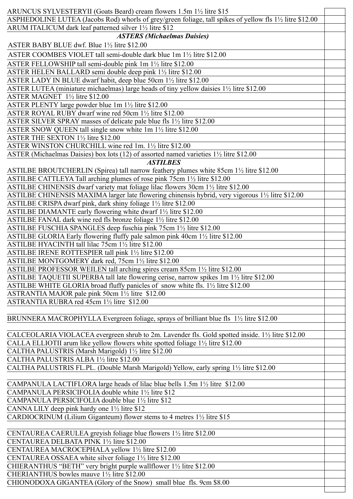| ARUNCUS SYLVESTERYII (Goats Beard) cream flowers 1.5m 1½ litre \$15                                                        |
|----------------------------------------------------------------------------------------------------------------------------|
|                                                                                                                            |
| ASPHEDOLINE LUTEA (Jacobs Rod) whorls of grey/green foliage, tall spikes of yellow fls 1½ litre \$12.00                    |
| ARUM ITALICUM dark leaf patterned silver 1½ litre \$12                                                                     |
| <b>ASTERS (Michaelmas Daisies)</b>                                                                                         |
| ASTER BABY BLUE dwf. Blue 11/2 litre \$12.00                                                                               |
| ASTER COOMBES VIOLET tall semi-double dark blue 1m 11/2 litre \$12.00                                                      |
| ASTER FELLOWSHIP tall semi-double pink 1m 1 <sup>1</sup> / <sub>2</sub> litre \$12.00                                      |
| ASTER HELEN BALLARD semi double deep pink 1½ litre \$12.00                                                                 |
| ASTER LADY IN BLUE dwarf habit, deep blue 50cm 1½ litre \$12.00                                                            |
| ASTER LUTEA (miniature michaelmas) large heads of tiny yellow daisies 11/2 litre \$12.00                                   |
| ASTER MAGNET 1½ litre \$12.00                                                                                              |
|                                                                                                                            |
| ASTER PLENTY large powder blue 1m 11/2 litre \$12.00                                                                       |
| ASTER ROYAL RUBY dwarf wine red 50cm 1½ litre \$12.00                                                                      |
| ASTER SILVER SPRAY masses of delicate pale blue fls 11/2 litre \$12.00                                                     |
| ASTER SNOW QUEEN tall single snow white 1m 1 <sup>1</sup> / <sub>2</sub> litre \$12.00                                     |
| ASTER THE SEXTON 1½ litre \$12.00                                                                                          |
| ASTER WINSTON CHURCHILL wine red 1m. 11/2 litre \$12.00                                                                    |
| ASTER (Michaelmas Daisies) box lots (12) of assorted named varieties 11/2 litre \$12.00                                    |
| <b>ASTILBES</b>                                                                                                            |
| ASTILBE BROUTCHERLIN (Spirea) tall narrow feathery plumes white 85cm 1½ litre \$12.00                                      |
| ASTILBE CATTLEYA Tall arching plumes of rose pink 75cm 11/2 litre \$12.00                                                  |
| ASTILBE CHINENSIS dwarf variety mat foliage lilac flowers 30cm 1½ litre \$12.00                                            |
| ASTILBE CHINENSIS MAXIMA larger late flowering chinensis hybrid, very vigorous 1 <sup>1</sup> / <sub>2</sub> litre \$12.00 |
| ASTILBE CRISPA dwarf pink, dark shiny foliage 11/2 litre \$12.00                                                           |
|                                                                                                                            |
| ASTILBE DIAMANTE early flowering white dwarf 1 <sup>1/2</sup> litre \$12.00                                                |
| ASTILBE FANAL dark wine red fls bronze foliage 1½ litre \$12.00                                                            |
| ASTILBE FUSCHIA SPANGLES deep fuschia pink 75cm 11/2 litre \$12.00                                                         |
| ASTILBE GLORIA Early flowering fluffy pale salmon pink 40cm 1½ litre \$12.00                                               |
| ASTILBE HYACINTH tall lilac 75cm 11/2 litre \$12.00                                                                        |
| ASTILBE IRENE ROTTESPIER tall pink 11/2 litre \$12.00                                                                      |
| ASTILBE MONTGOMERY dark red, 75cm 11/2 litre \$12.00                                                                       |
| ASTILBE PROFESSOR WEILEN tall arching spires cream 85cm 11/2 litre \$12.00                                                 |
| ASTILBE TAQUETII SUPERBA tall late flowering cerise, narrow spikes 1m 11/2 litre \$12.00                                   |
| ASTILBE WHITE GLORIA broad fluffy panicles of snow white fls. 11/2 litre \$12.00                                           |
| ASTRANTIA MAJOR pale pink 50cm 1½ litre \$12.00                                                                            |
| ASTRANTIA RUBRA red 45cm 1½ litre \$12.00                                                                                  |
|                                                                                                                            |
| BRUNNERA MACROPHYLLA Evergreen foliage, sprays of brilliant blue fls 1½ litre \$12.00                                      |
|                                                                                                                            |
| CALCEOLARIA VIOLACEA evergreen shrub to 2m. Lavender fls. Gold spotted inside. 1½ litre \$12.00                            |
|                                                                                                                            |
| CALLA ELLIOTII arum like yellow flowers white spotted foliage 11/2 litre \$12.00                                           |
| CALTHA PALUSTRIS (Marsh Marigold) 11/2 litre \$12.00                                                                       |
| CALTHA PALUSTRIS ALBA 11/2 litre \$12.00                                                                                   |
| CALTHA PALUSTRIS FL.PL. (Double Marsh Marigold) Yellow, early spring 1½ litre \$12.00                                      |
|                                                                                                                            |
| CAMPANULA LACTIFLORA large heads of lilac blue bells 1.5m 1½ litre \$12.00                                                 |
| CAMPANULA PERSICIFOLIA double white 1 <sup>1/2</sup> litre \$12                                                            |
| CAMPANULA PERSICIFOLIA double blue 1½ litre \$12                                                                           |
| CANNA LILY deep pink hardy one $1\frac{1}{2}$ litre \$12                                                                   |
| CARDIOCRINUM (Lilium Giganteum) flower stems to 4 metres 11/2 litre \$15                                                   |
|                                                                                                                            |
| CENTAUREA CAERULEA greyish foliage blue flowers 1½ litre \$12.00                                                           |
| CENTAUREA DELBATA PINK 11/2 litre \$12.00                                                                                  |
|                                                                                                                            |
| CENTAUREA MACROCEPHALA yellow 1½ litre \$12.00                                                                             |
| CENTAUREA OSSAEA white silver foliage 1½ litre \$12.00                                                                     |
| CHIERANTHUS "BETH" very bright purple wallflower 1 <sup>1</sup> / <sub>2</sub> litre \$12.00                               |
| CHERIANTHUS bowles mauve 11/2 litre \$12.00                                                                                |
| CHIONODOXA GIGANTEA (Glory of the Snow) small blue fls. 9cm \$8.00                                                         |
|                                                                                                                            |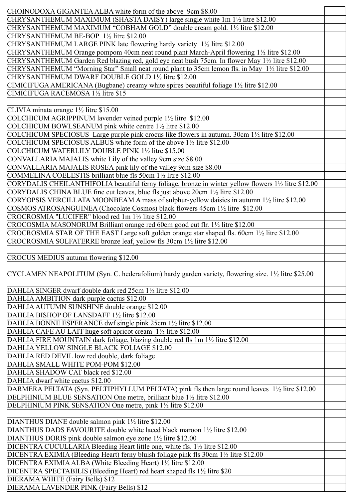| CHOINODOXA GIGANTEA ALBA white form of the above 9cm \$8.00                                                   |  |
|---------------------------------------------------------------------------------------------------------------|--|
| CHRYSANTHEMUM MAXIMUM (SHASTA DAISY) large single white 1m 11/2 litre \$12.00                                 |  |
| CHRYSANTHEMUM MAXIMUM "COBHAM GOLD" double cream gold. 1½ litre \$12.00                                       |  |
| CHRYSANTHEMUM BE-BOP 1½ litre \$12.00                                                                         |  |
| CHRYSANTHEMUM LARGE PINK late flowering hardy variety 11/2 litre \$12.00                                      |  |
| CHRYSANTHEMUM Orange pompom 40cm neat round plant March-April flowering 11/2 litre \$12.00                    |  |
| CHRYSANTHEMUM Garden Red blazing red, gold eye neat bush 75cm. In flower May 11/2 litre \$12.00               |  |
| CHRYSANTHEMUM "Morning Star" Small neat round plant to 35cm lemon fls. in May 11/2 litre \$12.00              |  |
| CHRYSANTHEMUM DWARF DOUBLE GOLD 11/2 litre \$12.00                                                            |  |
|                                                                                                               |  |
| CIMICIFUGA AMERICANA (Bugbane) creamy white spires beautiful foliage 1½ litre \$12.00                         |  |
| CIMICIFUGA RACEMOSA 11/2 litre \$15                                                                           |  |
|                                                                                                               |  |
| CLIVIA minata orange $1\frac{1}{2}$ litre \$15.00                                                             |  |
| COLCHICUM AGRIPPINUM lavender veined purple 11/2 litre \$12.00                                                |  |
| COLCHICUM BOWLSEANUM pink white centre 11/2 litre \$12.00                                                     |  |
| COLCHICUM SPECIOSUS Large purple pink crocus like flowers in autumn. 30cm 1½ litre \$12.00                    |  |
| COLCHICUM SPECIOSUS ALBUS white form of the above 1 <sup>1/2</sup> litre \$12.00                              |  |
| COLCHICUM WATERLILY DOUBLE PINK 11/2 litre \$15.00                                                            |  |
| CONVALLARIA MAJALIS white Lily of the valley 9cm size \$8.00                                                  |  |
| CONVALLARIA MAJALIS ROSEA pink lily of the valley 9cm size \$8.00                                             |  |
| COMMELINA COELESTIS brilliant blue fls 50cm 1½ litre \$12.00                                                  |  |
| CORYDALIS CHEILANTHIFOLIA beautiful ferny foliage, bronze in winter yellow flowers 11/2 litre \$12.00         |  |
| CORYDALIS CHINA BLUE fine cut leaves, blue fls just above 20cm 1 <sup>1</sup> / <sub>2</sub> litre \$12.00    |  |
| CORYOPSIS VERCILLATA MOONBEAM A mass of sulphur-yellow daisies in autumn 11/2 litre \$12.00                   |  |
| COSMOS ATROSANGUINEA (Chocolate Cosmos) black flowers 45cm 1½ litre \$12.00                                   |  |
| CROCROSMIA "LUCIFER" blood red 1m 1½ litre \$12.00                                                            |  |
| CROCOSMIA MASONORUM Brilliant orange red 60cm good cut flr. 11/2 litre \$12.00                                |  |
| CROCROSMIA STAR OF THE EAST Large soft golden orange star shaped fls. 60cm 11/2 litre \$12.00                 |  |
| CROCROSMIA SOLFATERRE bronze leaf, yellow fls 30cm 11/2 litre \$12.00                                         |  |
|                                                                                                               |  |
|                                                                                                               |  |
|                                                                                                               |  |
| CROCUS MEDIUS autumn flowering \$12.00                                                                        |  |
|                                                                                                               |  |
| CYCLAMEN NEAPOLITUM (Syn. C. hederafolium) hardy garden variety, flowering size. $1\frac{1}{2}$ litre \$25.00 |  |
| DAHLIA SINGER dwarf double dark red 25cm 11/2 litre \$12.00                                                   |  |
|                                                                                                               |  |
| DAHLIA AMBITION dark purple cactus \$12.00                                                                    |  |
| DAHLIA AUTUMN SUNSHINE double orange \$12.00<br>DAHLIA BISHOP OF LANSDAFF 1½ litre \$12.00                    |  |
|                                                                                                               |  |
| DAHLIA BONNE ESPERANCE dwf single pink 25cm 1 <sup>1/2</sup> litre \$12.00                                    |  |
| DAHLIA CAFE AU LAIT huge soft apricot cream 11/2 litre \$12.00                                                |  |
| DAHLIA FIRE MOUNTAIN dark foliage, blazing double red fls 1m 1 <sup>1</sup> / <sub>2</sub> litre \$12.00      |  |
| DAHLIA YELLOW SINGLE BLACK FOLIAGE \$12.00                                                                    |  |
| DAHLIA RED DEVIL low red double, dark foliage                                                                 |  |
| DAHLIA SMALL WHITE POM-POM \$12.00                                                                            |  |
| DAHLIA SHADOW CAT black red \$12.00                                                                           |  |
| DAHLIA dwarf white cactus \$12.00                                                                             |  |
| DARMERA PELTATA (Syn. PELTIPHYLLUM PELTATA) pink fls then large round leaves 1½ litre \$12.00                 |  |
| DELPHINIUM BLUE SENSATION One metre, brilliant blue 1½ litre \$12.00                                          |  |
| DELPHINIUM PINK SENSATION One metre, pink 1 <sup>1/2</sup> litre \$12.00                                      |  |
|                                                                                                               |  |
| DIANTHUS DIANE double salmon pink 1½ litre \$12.00                                                            |  |
| DIANTHUS DADS FAVOURITE double white laced black maroon 1 <sup>1</sup> / <sub>2</sub> litre \$12.00           |  |
| DIANTHUS DORIS pink double salmon eye zone 1½ litre \$12.00                                                   |  |
| DICENTRA CUCULLARIA Bleeding Heart little one, white fls. 1½ litre \$12.00                                    |  |
| DICENTRA EXIMIA (Bleeding Heart) ferny bluish foliage pink fls 30cm 1½ litre \$12.00                          |  |
| DICENTRA EXIMIA ALBA (White Bleeding Heart) 1½ litre \$12.00                                                  |  |
| DICENTRA SPECTABILIS (Bleeding Heart) red heart shaped fls 1½ litre \$20                                      |  |
| DIERAMA WHITE (Fairy Bells) \$12<br>DIERAMA LAVENDER PINK (Fairy Bells) \$12                                  |  |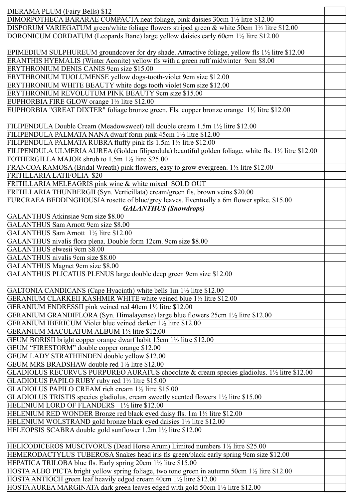| DIERAMA PLUM (Fairy Bells) \$12                                                                                                  |  |
|----------------------------------------------------------------------------------------------------------------------------------|--|
| DIMORPOTHECA BARARAE COMPACTA neat foliage, pink daisies 30cm 1½ litre \$12.00                                                   |  |
| DISPORUM VARIEGATUM green/white foliage flowers striped green & white 50cm 11/2 litre \$12.00                                    |  |
| DORONICUM CORDATUM (Leopards Bane) large yellow daisies early 60cm 11/2 litre \$12.00                                            |  |
|                                                                                                                                  |  |
| EPIMEDIUM SULPHUREUM groundcover for dry shade. Attractive foliage, yellow fls 1½ litre \$12.00                                  |  |
|                                                                                                                                  |  |
| ERANTHIS HYEMALIS (Winter Aconite) yellow fls with a green ruff midwinter 9cm \$8.00<br>ERYTHRONIUM DENIS CANIS 9cm size \$15.00 |  |
|                                                                                                                                  |  |
| ERYTHRONIUM TUOLUMENSE yellow dogs-tooth-violet 9cm size \$12.00                                                                 |  |
| ERYTHRONIUM WHITE BEAUTY white dogs tooth violet 9cm size \$12.00                                                                |  |
| ERYTHRONIUM REVOLUTUM PINK BEAUTY 9cm size \$15.00                                                                               |  |
| EUPHORBIA FIRE GLOW orange 1½ litre \$12.00                                                                                      |  |
| EUPHORBIA "GREAT DIXTER" foliage bronze green. Fls. copper bronze orange 1½ litre \$12.00                                        |  |
|                                                                                                                                  |  |
| FILIPENDULA Double Cream (Meadowsweet) tall double cream 1.5m 11/2 litre \$12.00                                                 |  |
| FILIPENDULA PALMATA NANA dwarf form pink 45cm 1½ litre \$12.00                                                                   |  |
| FILIPENDULA PALMATA RUBRA fluffy pink fls 1.5m 1½ litre \$12.00                                                                  |  |
| FILIPENDULA ULMERIA AUREA (Golden filipendula) beautiful golden foliage, white fls. 11/2 litre \$12.00                           |  |
| FOTHERGILLA MAJOR shrub to 1.5m 1½ litre \$25.00                                                                                 |  |
| FRANCOA RAMOSA (Bridal Wreath) pink flowers, easy to grow evergreen. 11/2 litre \$12.00                                          |  |
| FRITILLARIA LATIFOLIA \$20                                                                                                       |  |
| FRITILLARIA MELEAGRIS pink wine & white mixed SOLD OUT                                                                           |  |
| FRITILLARIA THUNBERGII (Syn. Verticillata) cream/green fls, brown veins \$20.00                                                  |  |
| FURCRAEA BEDDINGHOUSIA rosette of blue/grey leaves. Eventually a 6m flower spike. \$15.00                                        |  |
| <b>GALANTHUS (Snowdrops)</b>                                                                                                     |  |
| GALANTHUS Atkinsiae 9cm size \$8.00                                                                                              |  |
| GALANTHUS Sam Arnott 9cm size \$8.00                                                                                             |  |
| GALANTHUS Sam Arnott 1 <sup>1</sup> / <sub>2</sub> litre \$12.00                                                                 |  |
| GALANTHUS nivalis flora plena. Double form 12cm. 9cm size \$8.00                                                                 |  |
| GALANTHUS elwesii 9cm \$8.00                                                                                                     |  |
| GALANTHUS nivalis 9cm size \$8.00                                                                                                |  |
| GALANTHUS Magnet 9cm size \$8.00                                                                                                 |  |
| GALANTHUS PLICATUS PLENUS large double deep green 9cm size \$12.00                                                               |  |
|                                                                                                                                  |  |
| GALTONIA CANDICANS (Cape Hyacinth) white bells 1m 1 <sup>1</sup> / <sub>2</sub> litre \$12.00                                    |  |
| GERANIUM CLARKEII KASHMIR WHITE white veined blue 11/2 litre \$12.00                                                             |  |
|                                                                                                                                  |  |
| GERANIUM ENDRESSII pink veined red 40cm 11/2 litre \$12.00                                                                       |  |
| GERANIUM GRANDIFLORA (Syn. Himalayense) large blue flowers 25cm 1 <sup>1</sup> / <sub>2</sub> litre \$12.00                      |  |
| GERANIUM IBERICUM Violet blue veined darker 1½ litre \$12.00                                                                     |  |
| GERANIUM MACULATUM ALBUM 11/2 litre \$12.00                                                                                      |  |
| GEUM BORISII bright copper orange dwarf habit 15cm 11/2 litre \$12.00                                                            |  |
| GEUM "FIRESTORM" double copper orange \$12.00                                                                                    |  |
| GEUM LADY STRATHENDEN double yellow \$12.00                                                                                      |  |
| GEUM MRS BRADSHAW double red 11/2 litre \$12.00                                                                                  |  |
| GLADIOLUS RECURVUS PURPUREO AURATUS chocolate & cream species gladiolus. 1½ litre \$12.00                                        |  |
| GLADIOLUS PAPILO RUBY ruby red 1½ litre \$15.00                                                                                  |  |
| GLADIOLUS PAPILO CREAM rich cream 11/2 litre \$15.00                                                                             |  |
| GLADIOLUS TRISTIS species gladiolus, cream sweetly scented flowers $1\frac{1}{2}$ litre \$15.00                                  |  |
| HELENIUM LORD OF FLANDERS 1½ litre \$12.00                                                                                       |  |
| HELENIUM RED WONDER Bronze red black eyed daisy fls. 1m 1 <sup>1</sup> / <sub>2</sub> litre \$12.00                              |  |
| HELENIUM WOLSTRAND gold bronze black eyed daisies 11/2 litre \$12.00                                                             |  |
| HELEOPSIS SCABRA double gold sunflower 1.2m 1½ litre \$12.00                                                                     |  |
|                                                                                                                                  |  |
| HELICODICEROS MUSCIVORUS (Dead Horse Arum) Limited numbers 11/2 litre \$25.00                                                    |  |
| HEMERODACTYLUS TUBEROSA Snakes head iris fls green/black early spring 9cm size \$12.00                                           |  |
| HEPATICA TRILOBA blue fls. Early spring 20cm 1½ litre \$15.00                                                                    |  |
| HOSTA ALBO PICTA bright yellow spring foliage, two tone green in autumn 50cm 1 <sup>1</sup> / <sub>2</sub> litre \$12.00         |  |
| HOSTA ANTIOCH green leaf heavily edged cream 40cm 1 <sup>1</sup> / <sub>2</sub> litre \$12.00                                    |  |
| HOSTA AUREA MARGINATA dark green leaves edged with gold 50cm 11/2 litre \$12.00                                                  |  |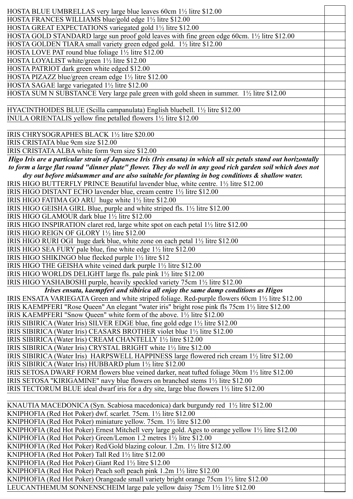| HOSTA BLUE UMBRELLAS very large blue leaves 60cm 11/2 litre \$12.00                                                                                     |  |
|---------------------------------------------------------------------------------------------------------------------------------------------------------|--|
| HOSTA FRANCES WILLIAMS blue/gold edge 1½ litre \$12.00                                                                                                  |  |
| HOSTA GREAT EXPECTATIONS variegated gold 11/2 litre \$12.00                                                                                             |  |
| HOSTA GOLD STANDARD large sun proof gold leaves with fine green edge 60cm. 1½ litre \$12.00                                                             |  |
| HOSTA GOLDEN TIARA small variety green edged gold. 11/2 litre \$12.00                                                                                   |  |
| HOSTA LOVE PAT round blue foliage 1½ litre \$12.00                                                                                                      |  |
| HOSTA LOYALIST white/green 1½ litre \$12.00                                                                                                             |  |
| HOSTA PATRIOT dark green white edged \$12.00                                                                                                            |  |
| HOSTA PIZAZZ blue/green cream edge 1½ litre \$12.00                                                                                                     |  |
| HOSTA SAGAE large variegated 11/2 litre \$12.00                                                                                                         |  |
| HOSTA SUM N SUBSTANCE Very large pale green with gold sheen in summer. 11/2 litre \$12.00                                                               |  |
|                                                                                                                                                         |  |
| HYACINTHOIDES BLUE (Scilla campanulata) English bluebell. 1½ litre \$12.00                                                                              |  |
| INULA ORIENTALIS yellow fine petalled flowers 11/2 litre \$12.00                                                                                        |  |
|                                                                                                                                                         |  |
| IRIS CHRYSOGRAPHES BLACK 1½ litre \$20.00                                                                                                               |  |
| IRIS CRISTATA blue 9cm size \$12.00                                                                                                                     |  |
| IRIS CRISTATA ALBA white form 9cm size \$12.00                                                                                                          |  |
| Higo Iris are a particular strain of Japanese Iris (Iris ensata) in which all six petals stand out horizontally                                         |  |
| to form a large flat round "dinner plate" flower. They do well in any good rich garden soil which does not                                              |  |
| dry out before midsummer and are also suitable for planting in bog conditions & shallow water.                                                          |  |
| IRIS HIGO BUTTERFLY PRINCE Beautiful lavender blue, white centre. 1½ litre \$12.00                                                                      |  |
| IRIS HIGO DISTANT ECHO lavender blue, cream centre 11/2 litre \$12.00                                                                                   |  |
| IRIS HIGO FATIMA GO ARU huge white 11/2 litre \$12.00                                                                                                   |  |
| IRIS HIGO GEISHA GIRL Blue, purple and white striped fls. 1 <sup>1</sup> / <sub>2</sub> litre \$12.00                                                   |  |
| IRIS HIGO GLAMOUR dark blue 11/2 litre \$12.00                                                                                                          |  |
| IRIS HIGO INSPIRATION claret red, large white spot on each petal 1½ litre \$12.00                                                                       |  |
| IRIS HIGO REIGN OF GLORY 1½ litre \$12.00                                                                                                               |  |
| IRIS HIGO RURI OGI huge dark blue, white zone on each petal 11/2 litre \$12.00                                                                          |  |
| IRIS HIGO SEA FURY pale blue, fine white edge 11/2 litre \$12.00                                                                                        |  |
| IRIS HIGO SHIKINGO blue flecked purple 11/2 litre \$12                                                                                                  |  |
| IRIS HIGO THE GEISHA white veined dark purple 11/2 litre \$12.00                                                                                        |  |
| IRIS HIGO WORLDS DELIGHT large fls. pale pink 1½ litre \$12.00                                                                                          |  |
| IRIS HIGO YASHABOSHI purple, heavily speckled variety 75cm 1½ litre \$12.00                                                                             |  |
| Irises ensata, kaempferi and sibirica all enjoy the same damp conditions as Higos                                                                       |  |
| IRIS ENSATA VARIEGATA Green and white striped foliage. Red-purple flowers 60cm 1½ litre \$12.00                                                         |  |
| IRIS KAEMPFERI "Rose Queen" An elegant "water iris" bright rose pink fls 75cm 1½ litre \$12.00                                                          |  |
| IRIS KAEMPFERI "Snow Queen" white form of the above. 1 <sup>1</sup> / <sub>2</sub> litre \$12.00                                                        |  |
| IRIS SIBIRICA (Water Iris) SILVER EDGE blue, fine gold edge 1½ litre \$12.00<br>IRIS SIBIRICA (Water Iris) CEASARS BROTHER violet blue 1½ litre \$12.00 |  |
| IRIS SIBIRICA (Water Iris) CREAM CHANTELLY 1½ litre \$12.00                                                                                             |  |
| IRIS SIBIRICA (Water Iris) CRYSTAL BRIGHT white 1 <sup>1</sup> / <sub>2</sub> litre \$12.00                                                             |  |
| IRIS SIBIRICA (Water Iris) HARPSWELL HAPPINESS large flowered rich cream 1½ litre \$12.00                                                               |  |
| IRIS SIBIRICA (Water Iris) HUBBARD plum 1½ litre \$12.00                                                                                                |  |
| IRIS SETOSA DWARF FORM flowers blue veined darker, neat tufted foliage 30cm 1½ litre \$12.00                                                            |  |
| IRIS SETOSA "KIRIGAMINE" navy blue flowers on branched stems 1½ litre \$12.00                                                                           |  |
| IRIS TECTORUM BLUE ideal dwarf iris for a dry site, large blue flowers 1 <sup>1</sup> / <sub>2</sub> litre \$12.00                                      |  |
|                                                                                                                                                         |  |
| KNAUTIA MACEDONICA (Syn. Scabiosa macedonica) dark burgundy red 1½ litre \$12.00                                                                        |  |
| KNIPHOFIA (Red Hot Poker) dwf. scarlet. 75cm. 1½ litre \$12.00                                                                                          |  |
| KNIPHOFIA (Red Hot Poker) miniature yellow. 75cm. 1½ litre \$12.00                                                                                      |  |
| KNIPHOFIA (Red Hot Poker) Ernest Mitchell very large gold. Ages to orange yellow 1½ litre \$12.00                                                       |  |
| KNIPHOFIA (Red Hot Poker) Green/Lemon 1.2 metres 11/2 litre \$12.00                                                                                     |  |
| KNIPHOFIA (Red Hot Poker) Red/Gold blazing colour. 1.2m. 1½ litre \$12.00                                                                               |  |
| KNIPHOFIA (Red Hot Poker) Tall Red 1½ litre \$12.00                                                                                                     |  |
| KNIPHOFIA (Red Hot Poker) Giant Red 1½ litre \$12.00                                                                                                    |  |
| KNIPHOFIA (Red Hot Poker) Peach soft peach pink 1.2m 1½ litre \$12.00                                                                                   |  |
| KNIPHOFIA (Red Hot Poker) Orangeade small variety bright orange 75cm 11/2 litre \$12.00                                                                 |  |
| LEUCANTHEMUM SONNENSCHEIM large pale yellow daisy 75cm 1½ litre \$12.00                                                                                 |  |
|                                                                                                                                                         |  |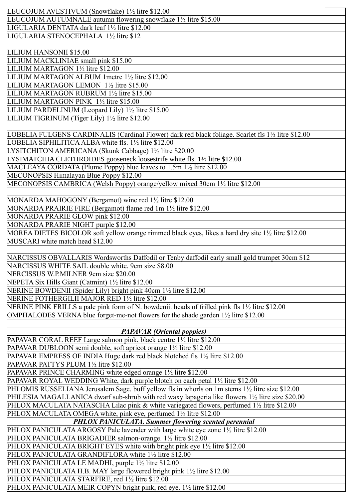| LEUCOJUM AVESTIVUM (Snowflake) 1½ litre \$12.00                                                     |  |
|-----------------------------------------------------------------------------------------------------|--|
| LEUCOJUM AUTUMNALE autumn flowering snowflake 11/2 litre \$15.00                                    |  |
| LIGULARIA DENTATA dark leaf 1½ litre \$12.00                                                        |  |
| LIGULARIA STENOCEPHALA 1½ litre \$12                                                                |  |
|                                                                                                     |  |
| LILIUM HANSONII \$15.00                                                                             |  |
| LILIUM MACKLINIAE small pink \$15.00                                                                |  |
| LILIUM MARTAGON 1½ litre \$12.00                                                                    |  |
| LILIUM MARTAGON ALBUM 1metre 11/2 litre \$12.00                                                     |  |
| LILIUM MARTAGON LEMON 1½ litre \$15.00                                                              |  |
| LILIUM MARTAGON RUBRUM 1½ litre \$15.00                                                             |  |
|                                                                                                     |  |
| LILIUM MARTAGON PINK 1½ litre \$15.00                                                               |  |
| LILIUM PARDELINUM (Leopard Lily) 11/2 litre \$15.00                                                 |  |
| LILIUM TIGRINUM (Tiger Lily) 1½ litre \$12.00                                                       |  |
|                                                                                                     |  |
| LOBELIA FULGENS CARDINALIS (Cardinal Flower) dark red black foliage. Scarlet fls 1½ litre \$12.00   |  |
| LOBELIA SIPHILITICA ALBA white fls. 11/2 litre \$12.00                                              |  |
| LYSITCHITON AMERICANA (Skunk Cabbage) 1½ litre \$20.00                                              |  |
| LYSIMATCHIA CLETHROIDES gooseneck loosestrife white fls. 1½ litre \$12.00                           |  |
| MACLEAYA CORDATA (Plume Poppy) blue leaves to $1.5m 1\frac{1}{2}$ litre \$12.00                     |  |
| MECONOPSIS Himalayan Blue Poppy \$12.00                                                             |  |
| MECONOPSIS CAMBRICA (Welsh Poppy) orange/yellow mixed 30cm 1½ litre \$12.00                         |  |
|                                                                                                     |  |
| MONARDA MAHOGONY (Bergamot) wine red 11/2 litre \$12.00                                             |  |
| MONARDA PRAIRIE FIRE (Bergamot) flame red 1m 11/2 litre \$12.00                                     |  |
| MONARDA PRARIE GLOW pink \$12.00                                                                    |  |
| MONARDA PRARIE NIGHT purple \$12.00                                                                 |  |
| MOREA DIETES BICOLOR soft yellow orange rimmed black eyes, likes a hard dry site 11/2 litre \$12.00 |  |
| MUSCARI white match head \$12.00                                                                    |  |
|                                                                                                     |  |
|                                                                                                     |  |
| NARCISSUS OBVALLARIS Wordsworths Daffodil or Tenby daffodil early small gold trumpet 30cm \$12      |  |
| NARCISSUS WHITE SAIL double white. 9cm size \$8.00                                                  |  |
| NERCISSUS W.P.MILNER 9cm size \$20.00                                                               |  |
| NEPETA Six Hills Giant (Catmint) 1½ litre \$12.00                                                   |  |
| NERINE BOWDENII (Spider Lily) bright pink 40cm 1½ litre \$12.00                                     |  |
| NERINE FOTHERGILII MAJOR RED 1½ litre \$12.00                                                       |  |
| NERINE PINK FRILLS a pale pink form of N. bowdenii. heads of frilled pink fls 1½ litre \$12.00      |  |
| OMPHALODES VERNA blue forget-me-not flowers for the shade garden 1½ litre \$12.00                   |  |
|                                                                                                     |  |
| <b>PAPAVAR</b> (Oriental poppies)                                                                   |  |
| PAPAVAR CORAL REEF Large salmon pink, black centre 11/2 litre \$12.00                               |  |
| PAPAVAR DUBLOON semi double, soft apricot orange 1½ litre \$12.00                                   |  |
| PAPAVAR EMPRESS OF INDIA Huge dark red black blotched fls 1½ litre \$12.00                          |  |
| PAPAVAR PATTYS PLUM 1½ litre \$12.00                                                                |  |
| PAPAVAR PRINCE CHARMING white edged orange 1 <sup>1</sup> / <sub>2</sub> litre \$12.00              |  |
| PAPAVAR ROYAL WEDDING White, dark purple blotch on each petal 11/2 litre \$12.00                    |  |
| PHLOMIS RUSSELIANA Jerusalem Sage. buff yellow fls in whorls on 1m stems 11/2 litre size \$12.00    |  |
| PHILESIA MAGALLANICA dwarf sub-shrub with red waxy lapageria like flowers 1½ litre size \$20.00     |  |
| PHLOX MACULATA NATASCHA Lilac pink & white variegated flowers, perfumed 11/2 litre \$12.00          |  |
|                                                                                                     |  |
| PHLOX MACULATA OMEGA white, pink eye, perfumed 1½ litre \$12.00                                     |  |
| PHLOX PANICULATA. Summer flowering scented perennial                                                |  |
|                                                                                                     |  |
| PHLOX PANICULATA ARGOSY Pale lavender with large white eye zone 11/2 litre \$12.00                  |  |
| PHLOX PANICULATA BRIGADIER salmon-orange. 11/2 litre \$12.00                                        |  |
| PHLOX PANICULATA BRIGHT EYES white with bright pink eye 1½ litre \$12.00                            |  |
| PHLOX PANICULATA GRANDIFLORA white 11/2 litre \$12.00                                               |  |
| PHLOX PANICULATA LE MADHI, purple 1 <sup>1/2</sup> litre \$12.00                                    |  |
| PHLOX PANICULATA H.B. MAY large flowered bright pink 1½ litre \$12.00                               |  |
| PHLOX PANICULATA STARFIRE, red 11/2 litre \$12.00                                                   |  |
| PHLOX PANICULATA MEIR COPYN bright pink, red eye. 11/2 litre \$12.00                                |  |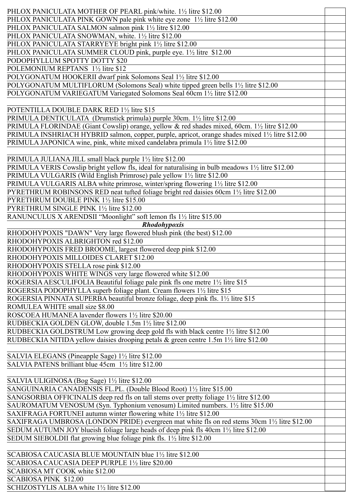| PHLOX PANICULATA MOTHER OF PEARL pink/white. 1½ litre \$12.00                                                          |  |
|------------------------------------------------------------------------------------------------------------------------|--|
| PHLOX PANICULATA PINK GOWN pale pink white eye zone 1½ litre \$12.00                                                   |  |
| PHLOX PANICULATA SALMON salmon pink 11/2 litre \$12.00                                                                 |  |
| PHLOX PANICULATA SNOWMAN, white. 11/2 litre \$12.00                                                                    |  |
| PHLOX PANICULATA STARRYEYE bright pink 1½ litre \$12.00                                                                |  |
| PHLOX PANICULATA SUMMER CLOUD pink, purple eye. 1½ litre \$12.00                                                       |  |
| PODOPHYLLUM SPOTTY DOTTY \$20                                                                                          |  |
|                                                                                                                        |  |
| POLEMONIUM REPTANS 1½ litre \$12                                                                                       |  |
| POLYGONATUM HOOKERII dwarf pink Solomons Seal 1½ litre \$12.00                                                         |  |
| POLYGONATUM MULTIFLORUM (Solomons Seal) white tipped green bells 1 <sup>1</sup> / <sub>2</sub> litre \$12.00           |  |
| POLYGONATUM VARIEGATUM Variegated Solomons Seal 60cm 11/2 litre \$12.00                                                |  |
|                                                                                                                        |  |
| POTENTILLA DOUBLE DARK RED 1½ litre \$15                                                                               |  |
| PRIMULA DENTICULATA (Drumstick primula) purple 30cm. 11/2 litre \$12.00                                                |  |
|                                                                                                                        |  |
| PRIMULA FLORINDAE (Giant Cowslip) orange, yellow & red shades mixed, 60cm. 1 <sup>1</sup> / <sub>2</sub> litre \$12.00 |  |
| PRIMULA INSHRIACH HYBRID salmon, copper, purple, apricot, orange shades mixed 1½ litre \$12.00                         |  |
| PRIMULA JAPONICA wine, pink, white mixed candelabra primula 1½ litre \$12.00                                           |  |
|                                                                                                                        |  |
| PRIMULA JULIANA JILL small black purple 1 <sup>1/2</sup> litre \$12.00                                                 |  |
| PRIMULA VERIS Cowslip bright yellow fls, ideal for naturalising in bulb meadows 11/2 litre \$12.00                     |  |
| PRIMULA VULGARIS (Wild English Primrose) pale yellow 1½ litre \$12.00                                                  |  |
| PRIMULA VULGARIS ALBA white primrose, winter/spring flowering 1½ litre \$12.00                                         |  |
|                                                                                                                        |  |
| PYRETHRUM ROBINSONS RED neat tufted foliage bright red daisies 60cm 11/2 litre \$12.00                                 |  |
| PYRETHRUM DOUBLE PINK 1½ litre \$15.00                                                                                 |  |
| PYRETHRUM SINGLE PINK 1½ litre \$12.00                                                                                 |  |
| RANUNCULUS X ARENDSII "Moonlight" soft lemon fls 1½ litre \$15.00                                                      |  |
| Rhodohypoxis                                                                                                           |  |
| RHODOHYPOXIS "DAWN" Very large flowered blush pink (the best) \$12.00                                                  |  |
| RHODOHYPOXIS ALBRIGHTON red \$12.00                                                                                    |  |
|                                                                                                                        |  |
| RHODOHYPOXIS FRED BROOME, largest flowered deep pink \$12.00                                                           |  |
| RHODOHYPOXIS MILLOIDES CLARET \$12.00                                                                                  |  |
| RHODOHYPOXIS STELLA rose pink \$12.00                                                                                  |  |
| RHODOHYPOXIS WHITE WINGS very large flowered white \$12.00                                                             |  |
| ROGERSIA AESCULIFOLIA Beautiful foliage pale pink fls one metre 11/2 litre \$15                                        |  |
| ROGERSIA PODOPHYLLA superb foliage plant. Cream flowers 11/2 litre \$15                                                |  |
| ROGERSIA PINNATA SUPERBA beautiful bronze foliage, deep pink fls. 11/2 litre \$15                                      |  |
|                                                                                                                        |  |
| ROMULEA WHITE small size \$8.00                                                                                        |  |
| ROSCOEA HUMANEA lavender flowers 11/2 litre \$20.00                                                                    |  |
| RUDBECKIA GOLDEN GLOW, double 1.5m 11/2 litre \$12.00                                                                  |  |
| RUDBECKIA GOLDSTRUM Low growing deep gold fls with black centre 11/2 litre \$12.00                                     |  |
| RUDBECKIA NITIDA yellow daisies drooping petals & green centre 1.5m 1½ litre \$12.00                                   |  |
|                                                                                                                        |  |
| SALVIA ELEGANS (Pineapple Sage) 11/2 litre \$12.00                                                                     |  |
|                                                                                                                        |  |
| SALVIA PATENS brilliant blue 45cm 1 <sup>1/2</sup> litre \$12.00                                                       |  |
|                                                                                                                        |  |
| SALVIA ULIGINOSA (Bog Sage) 1½ litre \$12.00                                                                           |  |
| SANGUINARIA CANADENSIS FL.PL. (Double Blood Root) 1½ litre \$15.00                                                     |  |
| SANGSORBIA OFFICINALIS deep red fls on tall stems over pretty foliage 11/2 litre \$12.00                               |  |
| SAUROMATUM VENOSUM (Syn. Typhonium venosum) Limited numbers. 11/2 litre \$15.00                                        |  |
| SAXIFRAGA FORTUNEI autumn winter flowering white 11/2 litre \$12.00                                                    |  |
|                                                                                                                        |  |
| SAXIFRAGA UMBROSA (LONDON PRIDE) evergreen mat white fls on red stems 30cm 1½ litre \$12.00                            |  |
| SEDUM AUTUMN JOY blueish foliage large heads of deep pink fls 40cm 1½ litre \$12.00                                    |  |
| SEDUM SIEBOLDII flat growing blue foliage pink fls. 1½ litre \$12.00                                                   |  |
|                                                                                                                        |  |
| SCABIOSA CAUCASIA BLUE MOUNTAIN blue 11/2 litre \$12.00                                                                |  |
| SCABIOSA CAUCASIA DEEP PURPLE 1½ litre \$20.00                                                                         |  |
| SCABIOSA MT COOK white \$12.00                                                                                         |  |
| <b>SCABIOSA PINK \$12.00</b>                                                                                           |  |
|                                                                                                                        |  |
| SCHIZOSTYLIS ALBA white 11/2 litre \$12.00                                                                             |  |